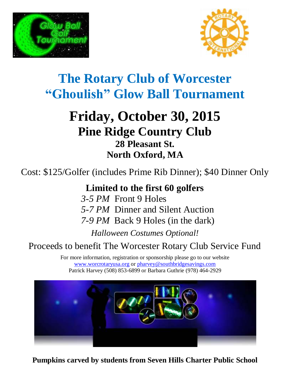



# **The Rotary Club of Worcester "Ghoulish" Glow Ball Tournament**

## **Friday, October 30, 2015 Pine Ridge Country Club 28 Pleasant St. North Oxford, MA**

Cost: \$125/Golfer (includes Prime Rib Dinner); \$40 Dinner Only

**Limited to the first 60 golfers**

*3-5 PM* Front 9 Holes *5-7 PM* Dinner and Silent Auction

*7-9 PM* Back 9 Holes (in the dark)

*Halloween Costumes Optional!*

## Proceeds to benefit The Worcester Rotary Club Service Fund

For more information, registration or sponsorship please go to our website [www.worcrotaryusa.org](http://www.worcrotaryusa.org/) or [pharvey@southbridgesavings.com](file:///C:/Users/Steve/Downloads/pharvey@southbridgesavings.com) Patrick Harvey (508) 853-6899 or Barbara Guthrie (978) 464-2929



**Pumpkins carved by students from Seven Hills Charter Public School**